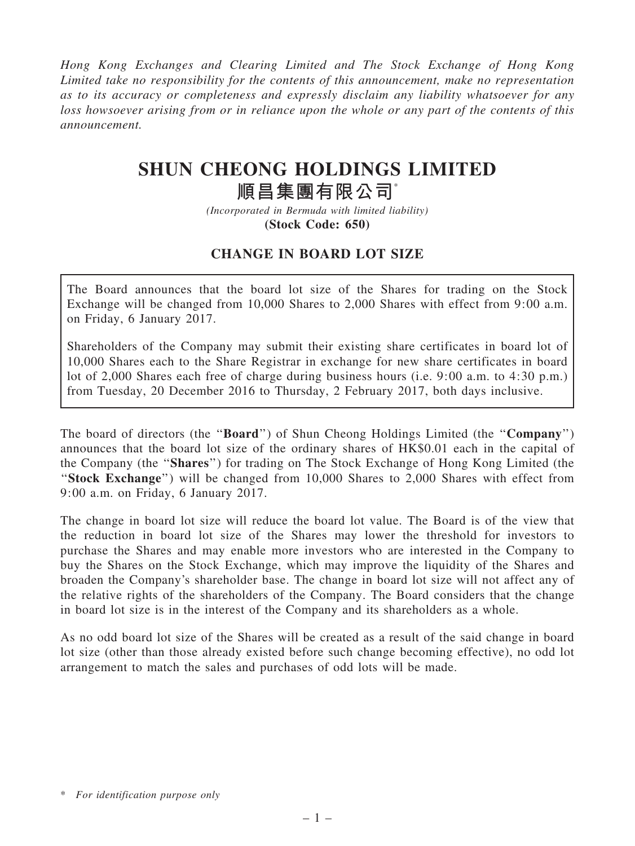Hong Kong Exchanges and Clearing Limited and The Stock Exchange of Hong Kong Limited take no responsibility for the contents of this announcement, make no representation as to its accuracy or completeness and expressly disclaim any liability whatsoever for any loss howsoever arising from or in reliance upon the whole or any part of the contents of this announcement.

# SHUN CHEONG HOLDINGS LIMITED

## 順昌集團有限公司\*

(Incorporated in Bermuda with limited liability) (Stock Code: 650)

### CHANGE IN BOARD LOT SIZE

The Board announces that the board lot size of the Shares for trading on the Stock Exchange will be changed from 10,000 Shares to 2,000 Shares with effect from 9:00 a.m. on Friday, 6 January 2017.

Shareholders of the Company may submit their existing share certificates in board lot of 10,000 Shares each to the Share Registrar in exchange for new share certificates in board lot of 2,000 Shares each free of charge during business hours (i.e. 9:00 a.m. to 4:30 p.m.) from Tuesday, 20 December 2016 to Thursday, 2 February 2017, both days inclusive.

The board of directors (the "**Board**") of Shun Cheong Holdings Limited (the "**Company**") announces that the board lot size of the ordinary shares of HK\$0.01 each in the capital of the Company (the "Shares") for trading on The Stock Exchange of Hong Kong Limited (the "Stock Exchange") will be changed from 10,000 Shares to 2,000 Shares with effect from 9:00 a.m. on Friday, 6 January 2017.

The change in board lot size will reduce the board lot value. The Board is of the view that the reduction in board lot size of the Shares may lower the threshold for investors to purchase the Shares and may enable more investors who are interested in the Company to buy the Shares on the Stock Exchange, which may improve the liquidity of the Shares and broaden the Company's shareholder base. The change in board lot size will not affect any of the relative rights of the shareholders of the Company. The Board considers that the change in board lot size is in the interest of the Company and its shareholders as a whole.

As no odd board lot size of the Shares will be created as a result of the said change in board lot size (other than those already existed before such change becoming effective), no odd lot arrangement to match the sales and purchases of odd lots will be made.

<sup>\*</sup> For identification purpose only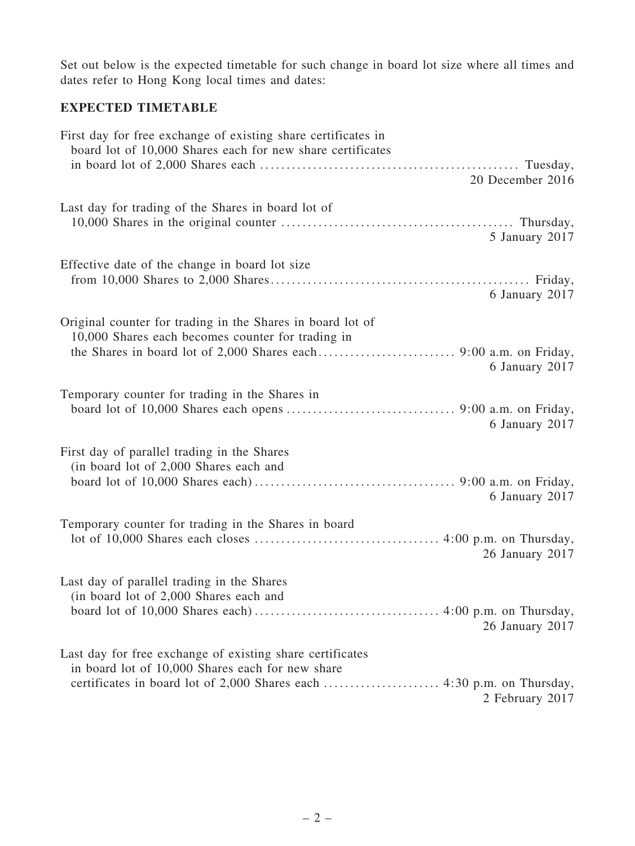Set out below is the expected timetable for such change in board lot size where all times and dates refer to Hong Kong local times and dates:

### EXPECTED TIMETABLE

| First day for free exchange of existing share certificates in<br>board lot of 10,000 Shares each for new share certificates       |  |
|-----------------------------------------------------------------------------------------------------------------------------------|--|
|                                                                                                                                   |  |
| 20 December 2016                                                                                                                  |  |
| Last day for trading of the Shares in board lot of<br>5 January 2017                                                              |  |
| Effective date of the change in board lot size<br>6 January 2017                                                                  |  |
| Original counter for trading in the Shares in board lot of<br>10,000 Shares each becomes counter for trading in<br>6 January 2017 |  |
| Temporary counter for trading in the Shares in<br>6 January 2017                                                                  |  |
| First day of parallel trading in the Shares<br>(in board lot of 2,000 Shares each and<br>6 January 2017                           |  |
| Temporary counter for trading in the Shares in board<br>26 January 2017                                                           |  |
| Last day of parallel trading in the Shares<br>(in board lot of 2,000 Shares each and<br>26 January 2017                           |  |
| Last day for free exchange of existing share certificates<br>in board lot of 10,000 Shares each for new share<br>2 February 2017  |  |